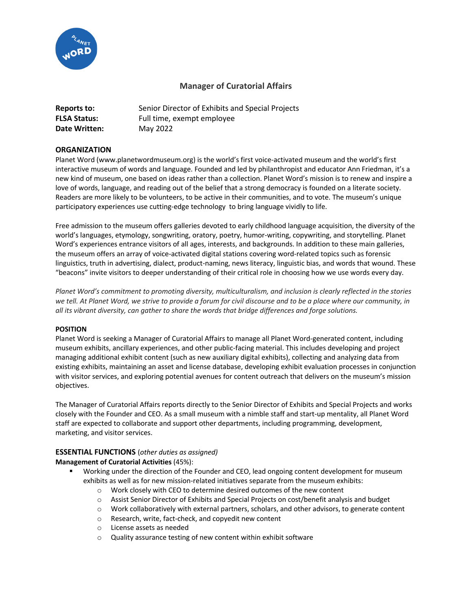

# **Manager of Curatorial Affairs**

| Reports to:         | Senior Director of Exhibits and Special Projects |
|---------------------|--------------------------------------------------|
| <b>FLSA Status:</b> | Full time, exempt employee                       |
| Date Written:       | May 2022                                         |

## **ORGANIZATION**

Planet Word (www.planetwordmuseum.org) is the world's first voice-activated museum and the world's first interactive museum of words and language. Founded and led by philanthropist and educator Ann Friedman, it's a new kind of museum, one based on ideas rather than a collection. Planet Word's mission is to renew and inspire a love of words, language, and reading out of the belief that a strong democracy is founded on a literate society. Readers are more likely to be volunteers, to be active in their communities, and to vote. The museum's unique participatory experiences use cutting-edge technology to bring language vividly to life.

Free admission to the museum offers galleries devoted to early childhood language acquisition, the diversity of the world's languages, etymology, songwriting, oratory, poetry, humor-writing, copywriting, and storytelling. Planet Word's experiences entrance visitors of all ages, interests, and backgrounds. In addition to these main galleries, the museum offers an array of voice-activated digital stations covering word-related topics such as forensic linguistics, truth in advertising, dialect, product-naming, news literacy, linguistic bias, and words that wound. These "beacons" invite visitors to deeper understanding of their critical role in choosing how we use words every day.

*Planet Word's commitment to promoting diversity, multiculturalism, and inclusion is clearly reflected in the stories we tell. At Planet Word, we strive to provide a forum for civil discourse and to be a place where our community, in all its vibrant diversity, can gather to share the words that bridge differences and forge solutions.*

### **POSITION**

Planet Word is seeking a Manager of Curatorial Affairs to manage all Planet Word-generated content, including museum exhibits, ancillary experiences, and other public-facing material. This includes developing and project managing additional exhibit content (such as new auxiliary digital exhibits), collecting and analyzing data from existing exhibits, maintaining an asset and license database, developing exhibit evaluation processes in conjunction with visitor services, and exploring potential avenues for content outreach that delivers on the museum's mission objectives.

The Manager of Curatorial Affairs reports directly to the Senior Director of Exhibits and Special Projects and works closely with the Founder and CEO. As a small museum with a nimble staff and start-up mentality, all Planet Word staff are expected to collaborate and support other departments, including programming, development, marketing, and visitor services.

### **ESSENTIAL FUNCTIONS** (*other duties as assigned)*

### **Management of Curatorial Activities** (45%):

- Working under the direction of the Founder and CEO, lead ongoing content development for museum exhibits as well as for new mission-related initiatives separate from the museum exhibits:
	- o Work closely with CEO to determine desired outcomes of the new content
	- o Assist Senior Director of Exhibits and Special Projects on cost/benefit analysis and budget
	- o Work collaboratively with external partners, scholars, and other advisors, to generate content
	- o Research, write, fact-check, and copyedit new content
	- o License assets as needed
	- o Quality assurance testing of new content within exhibit software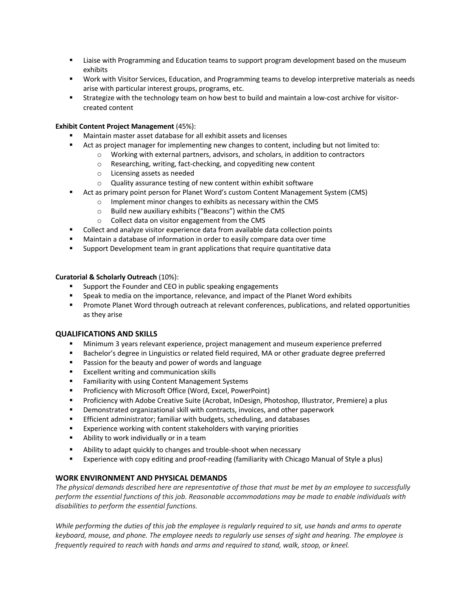- **■** Liaise with Programming and Education teams to support program development based on the museum exhibits
- Work with Visitor Services, Education, and Programming teams to develop interpretive materials as needs arise with particular interest groups, programs, etc.
- § Strategize with the technology team on how best to build and maintain a low-cost archive for visitorcreated content

### **Exhibit Content Project Management** (45%):

- § Maintain master asset database for all exhibit assets and licenses
- Act as project manager for implementing new changes to content, including but not limited to:
	- $\circ$  Working with external partners, advisors, and scholars, in addition to contractors
	- o Researching, writing, fact-checking, and copyediting new content
	- o Licensing assets as needed
	- o Quality assurance testing of new content within exhibit software
- Act as primary point person for Planet Word's custom Content Management System (CMS)
	- o Implement minor changes to exhibits as necessary within the CMS
	- o Build new auxiliary exhibits ("Beacons") within the CMS
	- o Collect data on visitor engagement from the CMS
- Collect and analyze visitor experience data from available data collection points
- Maintain a database of information in order to easily compare data over time
- § Support Development team in grant applications that require quantitative data

### **Curatorial & Scholarly Outreach** (10%):

- Support the Founder and CEO in public speaking engagements
- Speak to media on the importance, relevance, and impact of the Planet Word exhibits
- Promote Planet Word through outreach at relevant conferences, publications, and related opportunities as they arise

### **QUALIFICATIONS AND SKILLS**

- § Minimum 3 years relevant experience, project management and museum experience preferred
- Bachelor's degree in Linguistics or related field required, MA or other graduate degree preferred
- Passion for the beauty and power of words and language
- Excellent writing and communication skills
- Familiarity with using Content Management Systems
- Proficiency with Microsoft Office (Word, Excel, PowerPoint)
- § Proficiency with Adobe Creative Suite (Acrobat, InDesign, Photoshop, Illustrator, Premiere) a plus
- Demonstrated organizational skill with contracts, invoices, and other paperwork
- Efficient administrator; familiar with budgets, scheduling, and databases
- Experience working with content stakeholders with varying priorities
- Ability to work individually or in a team
- Ability to adapt quickly to changes and trouble-shoot when necessary
- Experience with copy editing and proof-reading (familiarity with Chicago Manual of Style a plus)

### **WORK ENVIRONMENT AND PHYSICAL DEMANDS**

*The physical demands described here are representative of those that must be met by an employee to successfully perform the essential functions of this job. Reasonable accommodations may be made to enable individuals with disabilities to perform the essential functions.*

*While performing the duties of this job the employee is regularly required to sit, use hands and arms to operate keyboard, mouse, and phone. The employee needs to regularly use senses of sight and hearing. The employee is frequently required to reach with hands and arms and required to stand, walk, stoop, or kneel.*